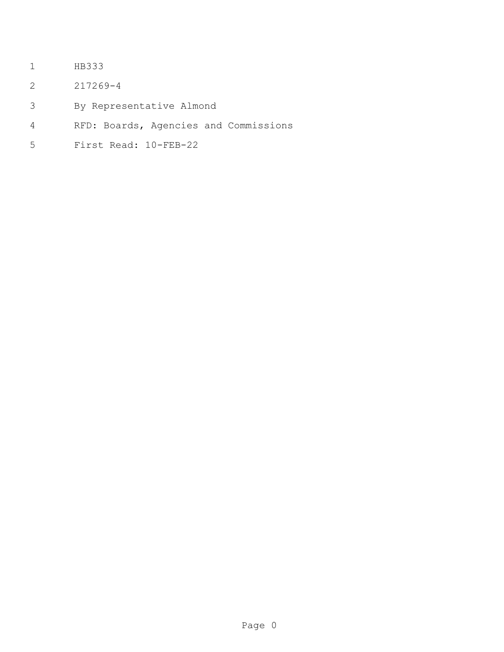- HB333
- 217269-4
- By Representative Almond
- RFD: Boards, Agencies and Commissions
- First Read: 10-FEB-22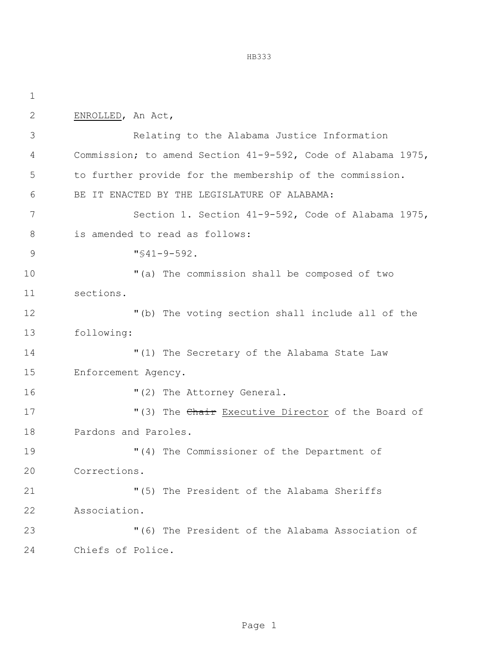ENROLLED, An Act, Relating to the Alabama Justice Information Commission; to amend Section 41-9-592, Code of Alabama 1975, to further provide for the membership of the commission. BE IT ENACTED BY THE LEGISLATURE OF ALABAMA: Section 1. Section 41-9-592, Code of Alabama 1975, is amended to read as follows: "§41-9-592. "(a) The commission shall be composed of two sections. "(b) The voting section shall include all of the following: "(1) The Secretary of the Alabama State Law Enforcement Agency.  $(2)$  The Attorney General. 17 The Chair Executive Director of the Board of Pardons and Paroles. "(4) The Commissioner of the Department of Corrections. "(5) The President of the Alabama Sheriffs Association. "(6) The President of the Alabama Association of Chiefs of Police.

## HB333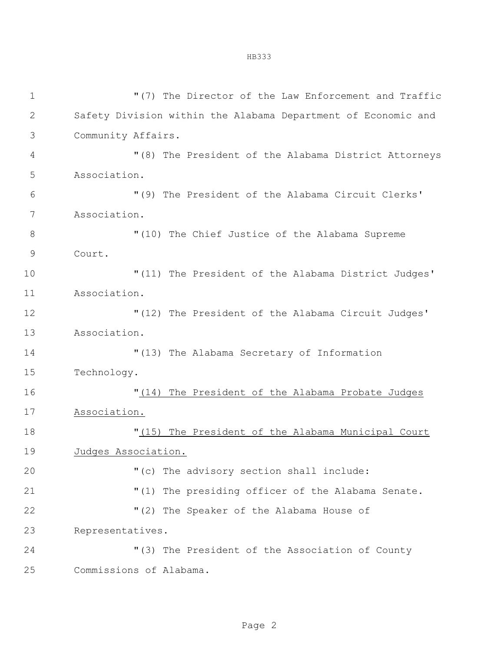| 1     | "(7) The Director of the Law Enforcement and Traffic          |
|-------|---------------------------------------------------------------|
| 2     | Safety Division within the Alabama Department of Economic and |
| 3     | Community Affairs.                                            |
| 4     | "(8) The President of the Alabama District Attorneys          |
| 5     | Association.                                                  |
| 6     | "(9) The President of the Alabama Circuit Clerks'             |
| 7     | Association.                                                  |
| $8\,$ | "(10) The Chief Justice of the Alabama Supreme                |
| 9     | Court.                                                        |
| 10    | "(11) The President of the Alabama District Judges'           |
| 11    | Association.                                                  |
| 12    | "(12) The President of the Alabama Circuit Judges'            |
| 13    | Association.                                                  |
| 14    | "(13) The Alabama Secretary of Information                    |
| 15    | Technology.                                                   |
| 16    | "(14) The President of the Alabama Probate Judges             |
| 17    | Association.                                                  |
| 18    | "(15) The President of the Alabama Municipal Court            |
| 19    | Judges Association.                                           |
| 20    | "(c) The advisory section shall include:                      |
| 21    | "(1) The presiding officer of the Alabama Senate.             |
| 22    | "(2) The Speaker of the Alabama House of                      |
| 23    | Representatives.                                              |
| 24    | "(3) The President of the Association of County               |
| 25    | Commissions of Alabama.                                       |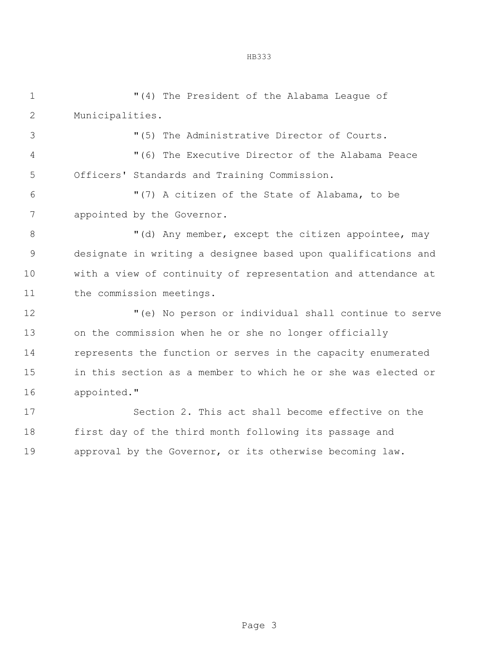"(4) The President of the Alabama League of Municipalities. "(5) The Administrative Director of Courts. "(6) The Executive Director of the Alabama Peace Officers' Standards and Training Commission. "(7) A citizen of the State of Alabama, to be appointed by the Governor. 8 "(d) Any member, except the citizen appointee, may designate in writing a designee based upon qualifications and with a view of continuity of representation and attendance at 11 the commission meetings. "(e) No person or individual shall continue to serve on the commission when he or she no longer officially represents the function or serves in the capacity enumerated in this section as a member to which he or she was elected or appointed." Section 2. This act shall become effective on the

HB333

 first day of the third month following its passage and approval by the Governor, or its otherwise becoming law.